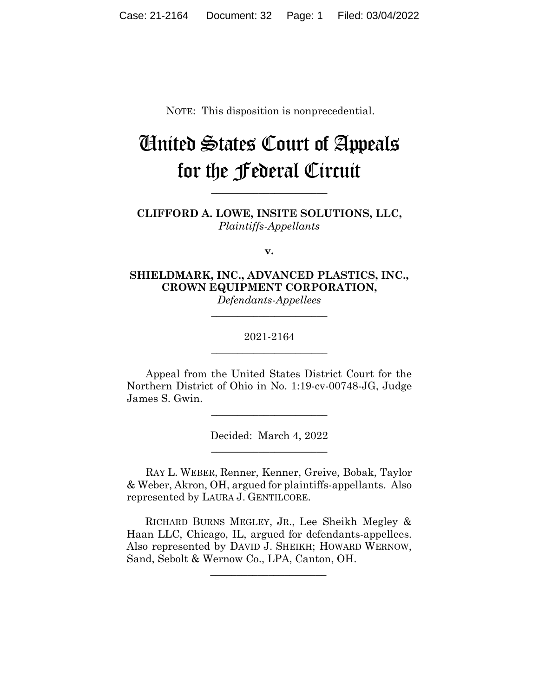NOTE: This disposition is nonprecedential.

# United States Court of Appeals for the Federal Circuit

**CLIFFORD A. LOWE, INSITE SOLUTIONS, LLC,** *Plaintiffs-Appellants*

**\_\_\_\_\_\_\_\_\_\_\_\_\_\_\_\_\_\_\_\_\_\_** 

**v.**

**SHIELDMARK, INC., ADVANCED PLASTICS, INC., CROWN EQUIPMENT CORPORATION,** *Defendants-Appellees*

**\_\_\_\_\_\_\_\_\_\_\_\_\_\_\_\_\_\_\_\_\_\_** 

2021-2164 **\_\_\_\_\_\_\_\_\_\_\_\_\_\_\_\_\_\_\_\_\_\_** 

Appeal from the United States District Court for the Northern District of Ohio in No. 1:19-cv-00748-JG, Judge James S. Gwin.

 $\overline{\phantom{a}}$  , where  $\overline{\phantom{a}}$  , where  $\overline{\phantom{a}}$  , where  $\overline{\phantom{a}}$ 

Decided: March 4, 2022  $\overline{\phantom{a}}$  , where  $\overline{\phantom{a}}$  , where  $\overline{\phantom{a}}$  , where  $\overline{\phantom{a}}$ 

RAY L. WEBER, Renner, Kenner, Greive, Bobak, Taylor & Weber, Akron, OH, argued for plaintiffs-appellants. Also represented by LAURA J. GENTILCORE.

 RICHARD BURNS MEGLEY, JR., Lee Sheikh Megley & Haan LLC, Chicago, IL, argued for defendants-appellees. Also represented by DAVID J. SHEIKH; HOWARD WERNOW, Sand, Sebolt & Wernow Co., LPA, Canton, OH.

 $\mathcal{L}_\text{max}$  and  $\mathcal{L}_\text{max}$  and  $\mathcal{L}_\text{max}$  and  $\mathcal{L}_\text{max}$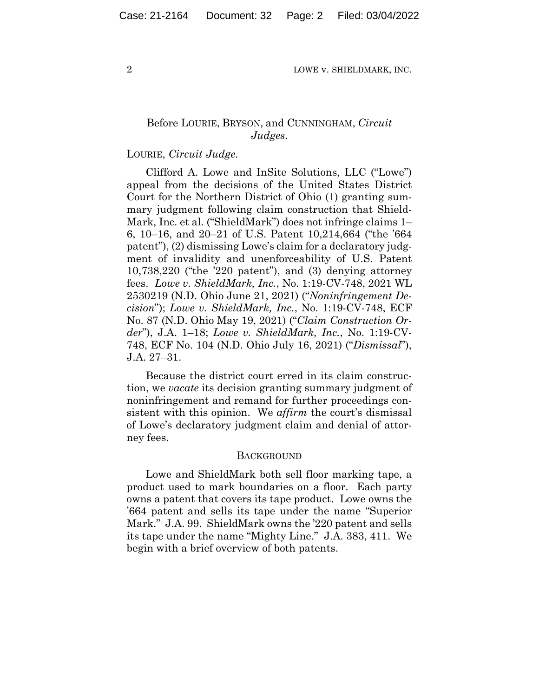# Before LOURIE, BRYSON, and CUNNINGHAM, *Circuit Judges*.

# LOURIE, *Circuit Judge*.

Clifford A. Lowe and InSite Solutions, LLC ("Lowe") appeal from the decisions of the United States District Court for the Northern District of Ohio (1) granting summary judgment following claim construction that Shield-Mark, Inc. et al. ("ShieldMark") does not infringe claims 1– 6, 10–16, and 20–21 of U.S. Patent 10,214,664 ("the '664 patent"), (2) dismissing Lowe's claim for a declaratory judgment of invalidity and unenforceability of U.S. Patent 10,738,220 ("the '220 patent"), and (3) denying attorney fees. *Lowe v. ShieldMark, Inc.*, No. 1:19-CV-748, 2021 WL 2530219 (N.D. Ohio June 21, 2021) ("*Noninfringement Decision*"); *Lowe v. ShieldMark, Inc.*, No. 1:19-CV-748, ECF No. 87 (N.D. Ohio May 19, 2021) ("*Claim Construction Order*"), J.A. 1–18; *Lowe v. ShieldMark, Inc.*, No. 1:19-CV-748, ECF No. 104 (N.D. Ohio July 16, 2021) ("*Dismissal*"), J.A. 27–31.

Because the district court erred in its claim construction, we *vacate* its decision granting summary judgment of noninfringement and remand for further proceedings consistent with this opinion. We *affirm* the court's dismissal of Lowe's declaratory judgment claim and denial of attorney fees.

#### **BACKGROUND**

Lowe and ShieldMark both sell floor marking tape, a product used to mark boundaries on a floor. Each party owns a patent that covers its tape product. Lowe owns the '664 patent and sells its tape under the name "Superior Mark." J.A. 99. ShieldMark owns the '220 patent and sells its tape under the name "Mighty Line." J.A. 383, 411. We begin with a brief overview of both patents.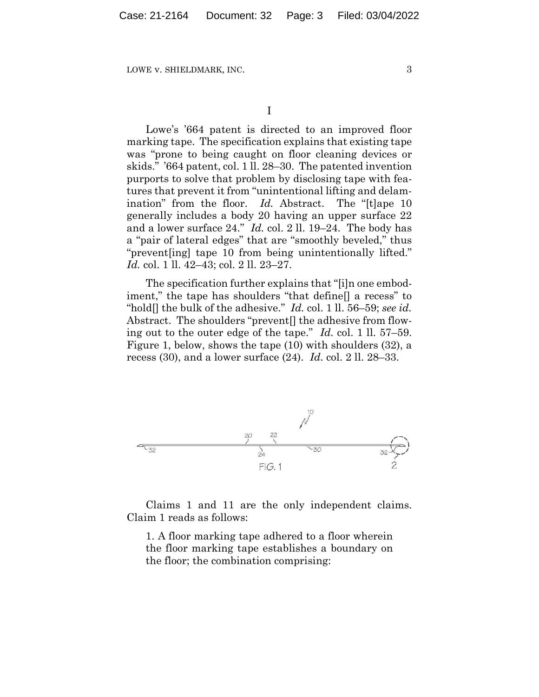Lowe's '664 patent is directed to an improved floor marking tape. The specification explains that existing tape was "prone to being caught on floor cleaning devices or skids." '664 patent, col. 1 ll. 28–30. The patented invention purports to solve that problem by disclosing tape with features that prevent it from "unintentional lifting and delamination" from the floor. *Id.* Abstract. The "[t]ape 10 generally includes a body 20 having an upper surface 22 and a lower surface 24." *Id.* col. 2 ll. 19–24. The body has a "pair of lateral edges" that are "smoothly beveled," thus "prevent[ing] tape 10 from being unintentionally lifted." *Id.* col. 1 ll. 42–43; col. 2 ll. 23–27.

The specification further explains that "[i]n one embodiment," the tape has shoulders "that define. a recess" to "hold[] the bulk of the adhesive." *Id.* col. 1 ll. 56–59; *see id.* Abstract. The shoulders "prevent[] the adhesive from flowing out to the outer edge of the tape." *Id.* col. 1 ll. 57–59. Figure 1, below, shows the tape (10) with shoulders (32), a recess (30), and a lower surface (24). *Id.* col. 2 ll. 28–33.



Claims 1 and 11 are the only independent claims. Claim 1 reads as follows:

1. A floor marking tape adhered to a floor wherein the floor marking tape establishes a boundary on the floor; the combination comprising: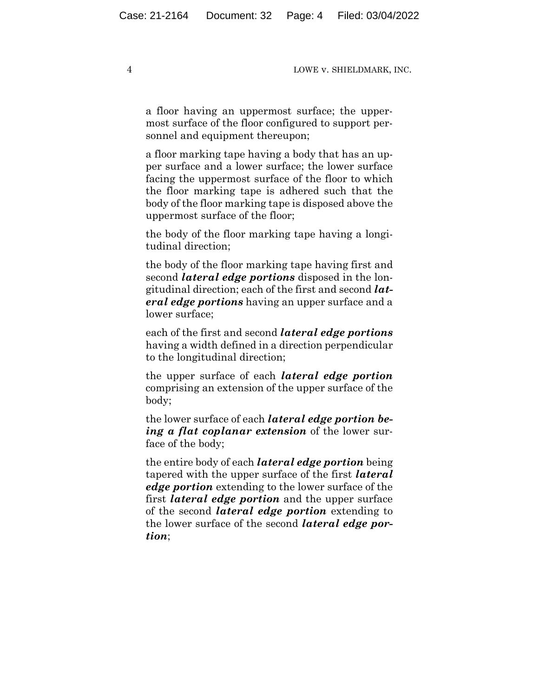a floor having an uppermost surface; the uppermost surface of the floor configured to support personnel and equipment thereupon;

a floor marking tape having a body that has an upper surface and a lower surface; the lower surface facing the uppermost surface of the floor to which the floor marking tape is adhered such that the body of the floor marking tape is disposed above the uppermost surface of the floor;

the body of the floor marking tape having a longitudinal direction;

the body of the floor marking tape having first and second *lateral edge portions* disposed in the longitudinal direction; each of the first and second *lateral edge portions* having an upper surface and a lower surface;

each of the first and second *lateral edge portions* having a width defined in a direction perpendicular to the longitudinal direction;

the upper surface of each *lateral edge portion* comprising an extension of the upper surface of the body;

the lower surface of each *lateral edge portion being a flat coplanar extension* of the lower surface of the body;

the entire body of each *lateral edge portion* being tapered with the upper surface of the first *lateral edge portion* extending to the lower surface of the first *lateral edge portion* and the upper surface of the second *lateral edge portion* extending to the lower surface of the second *lateral edge portion*;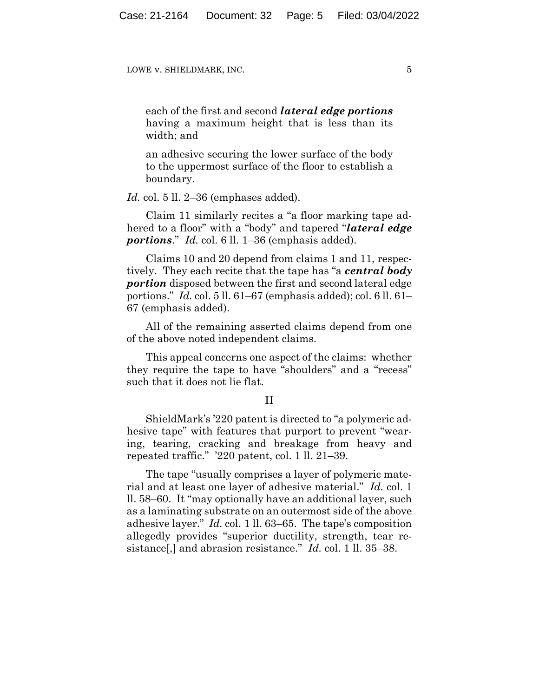each of the first and second *lateral edge portions* having a maximum height that is less than its width; and

an adhesive securing the lower surface of the body to the uppermost surface of the floor to establish a boundary.

*Id.* col. 5 ll. 2–36 (emphases added).

Claim 11 similarly recites a "a floor marking tape adhered to a floor" with a "body" and tapered "*lateral edge portions*." *Id.* col. 6 ll. 1–36 (emphasis added).

Claims 10 and 20 depend from claims 1 and 11, respectively. They each recite that the tape has "a *central body portion* disposed between the first and second lateral edge portions." *Id.* col. 5 ll. 61–67 (emphasis added); col. 6 ll. 61– 67 (emphasis added).

All of the remaining asserted claims depend from one of the above noted independent claims.

This appeal concerns one aspect of the claims: whether they require the tape to have "shoulders" and a "recess" such that it does not lie flat.

#### II

ShieldMark's '220 patent is directed to "a polymeric adhesive tape" with features that purport to prevent "wearing, tearing, cracking and breakage from heavy and repeated traffic." '220 patent, col. 1 ll. 21–39.

The tape "usually comprises a layer of polymeric material and at least one layer of adhesive material." *Id.* col. 1 ll. 58–60. It "may optionally have an additional layer, such as a laminating substrate on an outermost side of the above adhesive layer." *Id.* col. 1 ll. 63–65. The tape's composition allegedly provides "superior ductility, strength, tear resistance[,] and abrasion resistance." *Id.* col. 1 ll. 35–38.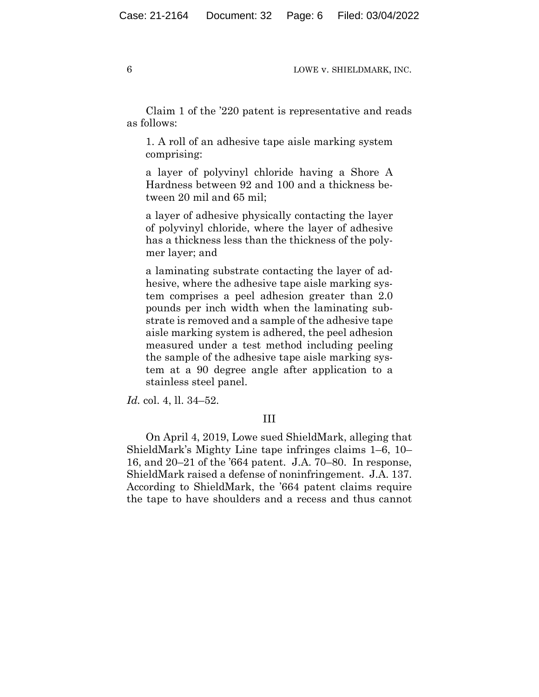Claim 1 of the '220 patent is representative and reads as follows:

1. A roll of an adhesive tape aisle marking system comprising:

a layer of polyvinyl chloride having a Shore A Hardness between 92 and 100 and a thickness between 20 mil and 65 mil;

a layer of adhesive physically contacting the layer of polyvinyl chloride, where the layer of adhesive has a thickness less than the thickness of the polymer layer; and

a laminating substrate contacting the layer of adhesive, where the adhesive tape aisle marking system comprises a peel adhesion greater than 2.0 pounds per inch width when the laminating substrate is removed and a sample of the adhesive tape aisle marking system is adhered, the peel adhesion measured under a test method including peeling the sample of the adhesive tape aisle marking system at a 90 degree angle after application to a stainless steel panel.

*Id.* col. 4, ll. 34–52.

#### III

On April 4, 2019, Lowe sued ShieldMark, alleging that ShieldMark's Mighty Line tape infringes claims 1–6, 10– 16, and 20–21 of the '664 patent. J.A. 70–80. In response, ShieldMark raised a defense of noninfringement. J.A. 137. According to ShieldMark, the '664 patent claims require the tape to have shoulders and a recess and thus cannot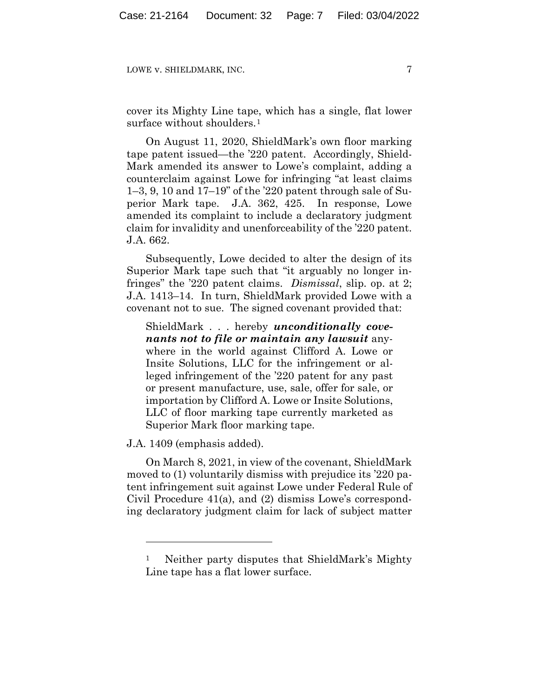cover its Mighty Line tape, which has a single, flat lower surface without shoulders.<sup>1</sup>

On August 11, 2020, ShieldMark's own floor marking tape patent issued—the '220 patent. Accordingly, Shield-Mark amended its answer to Lowe's complaint, adding a counterclaim against Lowe for infringing "at least claims 1–3, 9, 10 and 17–19" of the '220 patent through sale of Superior Mark tape. J.A. 362, 425. In response, Lowe amended its complaint to include a declaratory judgment claim for invalidity and unenforceability of the '220 patent. J.A. 662.

Subsequently, Lowe decided to alter the design of its Superior Mark tape such that "it arguably no longer infringes" the '220 patent claims. *Dismissal*, slip. op. at 2; J.A. 1413–14. In turn, ShieldMark provided Lowe with a covenant not to sue. The signed covenant provided that:

ShieldMark . . . hereby *unconditionally covenants not to file or maintain any lawsuit* anywhere in the world against Clifford A. Lowe or Insite Solutions, LLC for the infringement or alleged infringement of the '220 patent for any past or present manufacture, use, sale, offer for sale, or importation by Clifford A. Lowe or Insite Solutions, LLC of floor marking tape currently marketed as Superior Mark floor marking tape.

J.A. 1409 (emphasis added).

On March 8, 2021, in view of the covenant, ShieldMark moved to (1) voluntarily dismiss with prejudice its '220 patent infringement suit against Lowe under Federal Rule of Civil Procedure 41(a), and (2) dismiss Lowe's corresponding declaratory judgment claim for lack of subject matter

<sup>1</sup> Neither party disputes that ShieldMark's Mighty Line tape has a flat lower surface.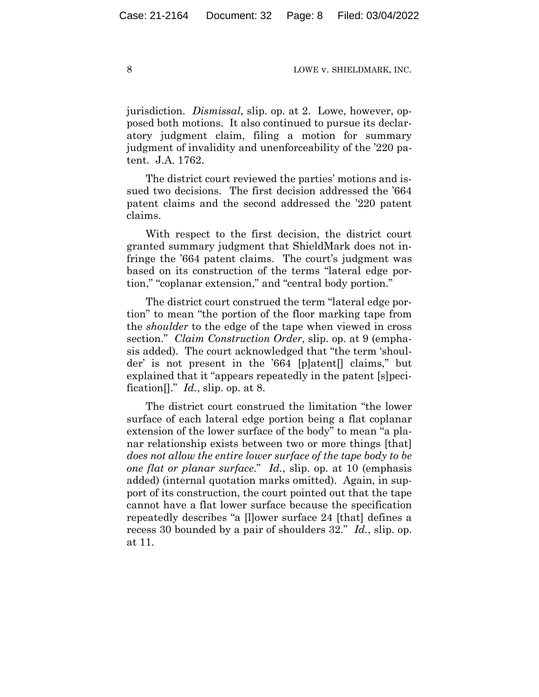jurisdiction. *Dismissal*, slip. op. at 2. Lowe, however, opposed both motions. It also continued to pursue its declaratory judgment claim, filing a motion for summary judgment of invalidity and unenforceability of the '220 patent. J.A. 1762.

The district court reviewed the parties' motions and issued two decisions. The first decision addressed the '664 patent claims and the second addressed the '220 patent claims.

With respect to the first decision, the district court granted summary judgment that ShieldMark does not infringe the '664 patent claims. The court's judgment was based on its construction of the terms "lateral edge portion," "coplanar extension," and "central body portion."

The district court construed the term "lateral edge portion" to mean "the portion of the floor marking tape from the *shoulder* to the edge of the tape when viewed in cross section." *Claim Construction Order*, slip. op. at 9 (emphasis added). The court acknowledged that "the term 'shoulder' is not present in the '664 [p]atent[] claims," but explained that it "appears repeatedly in the patent [s]pecification[]." *Id.*, slip. op. at 8.

The district court construed the limitation "the lower surface of each lateral edge portion being a flat coplanar extension of the lower surface of the body" to mean "a planar relationship exists between two or more things [that] *does not allow the entire lower surface of the tape body to be one flat or planar surface*." *Id.*, slip. op. at 10 (emphasis added) (internal quotation marks omitted). Again, in support of its construction, the court pointed out that the tape cannot have a flat lower surface because the specification repeatedly describes "a [l]ower surface 24 [that] defines a recess 30 bounded by a pair of shoulders 32." *Id.*, slip. op. at 11.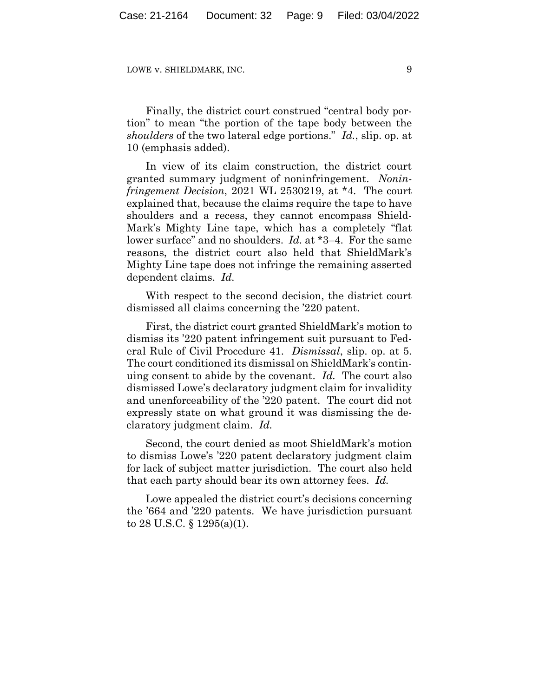Finally, the district court construed "central body portion" to mean "the portion of the tape body between the *shoulders* of the two lateral edge portions." *Id.*, slip. op. at 10 (emphasis added).

In view of its claim construction, the district court granted summary judgment of noninfringement. *Noninfringement Decision*, 2021 WL 2530219, at \*4. The court explained that, because the claims require the tape to have shoulders and a recess, they cannot encompass Shield-Mark's Mighty Line tape, which has a completely "flat lower surface" and no shoulders. *Id.* at \*3–4. For the same reasons, the district court also held that ShieldMark's Mighty Line tape does not infringe the remaining asserted dependent claims. *Id.*

With respect to the second decision, the district court dismissed all claims concerning the '220 patent.

First, the district court granted ShieldMark's motion to dismiss its '220 patent infringement suit pursuant to Federal Rule of Civil Procedure 41. *Dismissal*, slip. op. at 5. The court conditioned its dismissal on ShieldMark's continuing consent to abide by the covenant. *Id.* The court also dismissed Lowe's declaratory judgment claim for invalidity and unenforceability of the '220 patent. The court did not expressly state on what ground it was dismissing the declaratory judgment claim. *Id.*

Second, the court denied as moot ShieldMark's motion to dismiss Lowe's '220 patent declaratory judgment claim for lack of subject matter jurisdiction. The court also held that each party should bear its own attorney fees. *Id.*

Lowe appealed the district court's decisions concerning the '664 and '220 patents. We have jurisdiction pursuant to 28 U.S.C.  $\S$  1295(a)(1).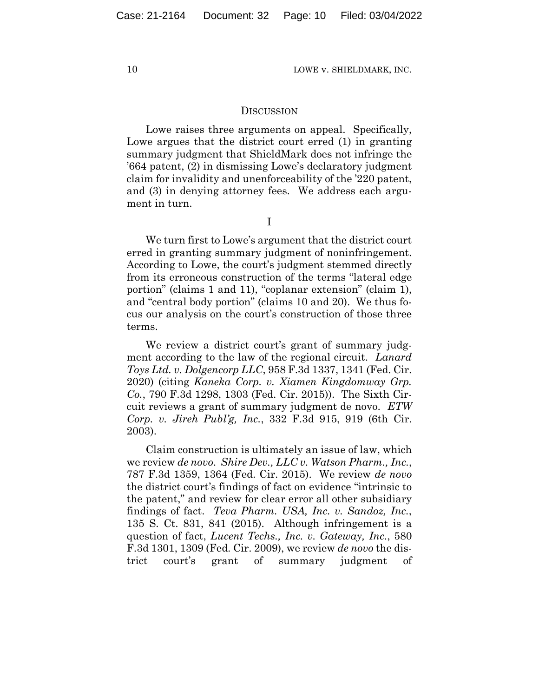#### **DISCUSSION**

Lowe raises three arguments on appeal. Specifically, Lowe argues that the district court erred (1) in granting summary judgment that ShieldMark does not infringe the '664 patent, (2) in dismissing Lowe's declaratory judgment claim for invalidity and unenforceability of the '220 patent, and (3) in denying attorney fees. We address each argument in turn.

I

We turn first to Lowe's argument that the district court erred in granting summary judgment of noninfringement. According to Lowe, the court's judgment stemmed directly from its erroneous construction of the terms "lateral edge portion" (claims 1 and 11), "coplanar extension" (claim 1), and "central body portion" (claims 10 and 20). We thus focus our analysis on the court's construction of those three terms.

We review a district court's grant of summary judgment according to the law of the regional circuit. *Lanard Toys Ltd. v. Dolgencorp LLC*, 958 F.3d 1337, 1341 (Fed. Cir. 2020) (citing *Kaneka Corp. v. Xiamen Kingdomway Grp. Co.*, 790 F.3d 1298, 1303 (Fed. Cir. 2015)). The Sixth Circuit reviews a grant of summary judgment de novo. *ETW Corp. v. Jireh Publ'g, Inc.*, 332 F.3d 915, 919 (6th Cir. 2003).

Claim construction is ultimately an issue of law, which we review *de novo*. *Shire Dev., LLC v. Watson Pharm., Inc.*, 787 F.3d 1359, 1364 (Fed. Cir. 2015). We review *de novo* the district court's findings of fact on evidence "intrinsic to the patent," and review for clear error all other subsidiary findings of fact. *Teva Pharm. USA, Inc. v. Sandoz, Inc.*, 135 S. Ct. 831, 841 (2015). Although infringement is a question of fact, *Lucent Techs., Inc. v. Gateway, Inc.*, 580 F.3d 1301, 1309 (Fed. Cir. 2009), we review *de novo* the district court's grant of summary judgment of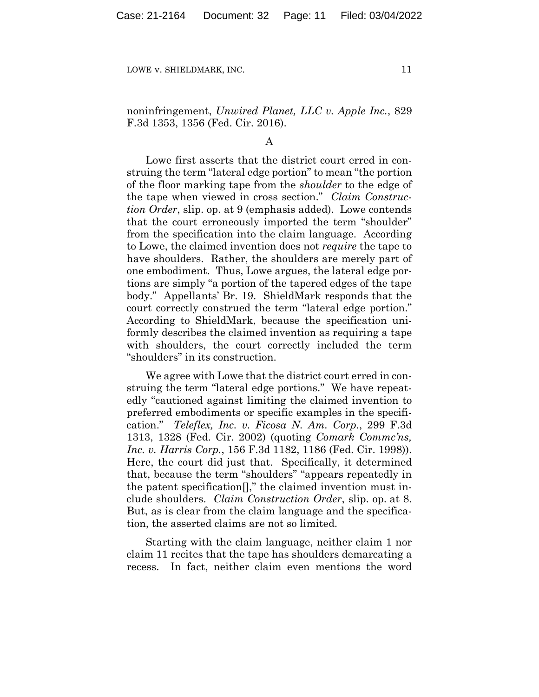noninfringement, *Unwired Planet, LLC v. Apple Inc.*, 829 F.3d 1353, 1356 (Fed. Cir. 2016).

## A

Lowe first asserts that the district court erred in construing the term "lateral edge portion" to mean "the portion of the floor marking tape from the *shoulder* to the edge of the tape when viewed in cross section." *Claim Construction Order*, slip. op. at 9 (emphasis added). Lowe contends that the court erroneously imported the term "shoulder" from the specification into the claim language. According to Lowe, the claimed invention does not *require* the tape to have shoulders. Rather, the shoulders are merely part of one embodiment. Thus, Lowe argues, the lateral edge portions are simply "a portion of the tapered edges of the tape body." Appellants' Br. 19. ShieldMark responds that the court correctly construed the term "lateral edge portion." According to ShieldMark, because the specification uniformly describes the claimed invention as requiring a tape with shoulders, the court correctly included the term "shoulders" in its construction.

We agree with Lowe that the district court erred in construing the term "lateral edge portions." We have repeatedly "cautioned against limiting the claimed invention to preferred embodiments or specific examples in the specification." *Teleflex, Inc. v. Ficosa N. Am. Corp.*, 299 F.3d 1313, 1328 (Fed. Cir. 2002) (quoting *Comark Commc'ns, Inc. v. Harris Corp.*, 156 F.3d 1182, 1186 (Fed. Cir. 1998)). Here, the court did just that. Specifically, it determined that, because the term "shoulders" "appears repeatedly in the patent specification[]," the claimed invention must include shoulders. *Claim Construction Order*, slip. op. at 8. But, as is clear from the claim language and the specification, the asserted claims are not so limited.

Starting with the claim language, neither claim 1 nor claim 11 recites that the tape has shoulders demarcating a recess. In fact, neither claim even mentions the word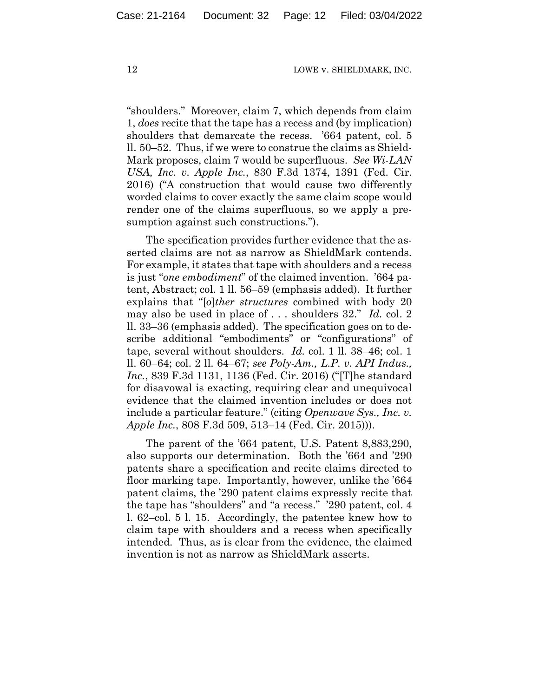"shoulders." Moreover, claim 7, which depends from claim 1, *does* recite that the tape has a recess and (by implication) shoulders that demarcate the recess. '664 patent, col. 5 ll. 50–52. Thus, if we were to construe the claims as Shield-Mark proposes, claim 7 would be superfluous. *See Wi-LAN USA, Inc. v. Apple Inc.*, 830 F.3d 1374, 1391 (Fed. Cir. 2016) ("A construction that would cause two differently worded claims to cover exactly the same claim scope would render one of the claims superfluous, so we apply a presumption against such constructions.").

The specification provides further evidence that the asserted claims are not as narrow as ShieldMark contends. For example, it states that tape with shoulders and a recess is just "*one embodiment*" of the claimed invention. '664 patent, Abstract; col. 1 ll. 56–59 (emphasis added). It further explains that "[*o*]*ther structures* combined with body 20 may also be used in place of . . . shoulders 32." *Id.* col. 2 ll. 33–36 (emphasis added). The specification goes on to describe additional "embodiments" or "configurations" of tape, several without shoulders. *Id.* col. 1 ll. 38–46; col. 1 ll. 60–64; col. 2 ll. 64–67; *see Poly-Am., L.P. v. API Indus., Inc.*, 839 F.3d 1131, 1136 (Fed. Cir. 2016) ("[T]he standard for disavowal is exacting, requiring clear and unequivocal evidence that the claimed invention includes or does not include a particular feature." (citing *Openwave Sys., Inc. v. Apple Inc.*, 808 F.3d 509, 513–14 (Fed. Cir. 2015))).

The parent of the '664 patent, U.S. Patent 8,883,290, also supports our determination. Both the '664 and '290 patents share a specification and recite claims directed to floor marking tape. Importantly, however, unlike the '664 patent claims, the '290 patent claims expressly recite that the tape has "shoulders" and "a recess." '290 patent, col. 4 l. 62–col. 5 l. 15. Accordingly, the patentee knew how to claim tape with shoulders and a recess when specifically intended. Thus, as is clear from the evidence, the claimed invention is not as narrow as ShieldMark asserts.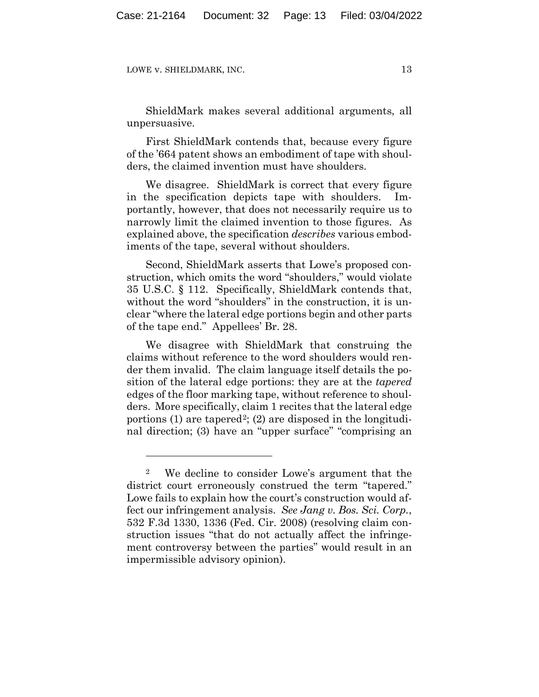ShieldMark makes several additional arguments, all unpersuasive.

First ShieldMark contends that, because every figure of the '664 patent shows an embodiment of tape with shoulders, the claimed invention must have shoulders.

We disagree. ShieldMark is correct that every figure in the specification depicts tape with shoulders. Importantly, however, that does not necessarily require us to narrowly limit the claimed invention to those figures. As explained above, the specification *describes* various embodiments of the tape, several without shoulders.

Second, ShieldMark asserts that Lowe's proposed construction, which omits the word "shoulders," would violate 35 U.S.C. § 112. Specifically, ShieldMark contends that, without the word "shoulders" in the construction, it is unclear "where the lateral edge portions begin and other parts of the tape end." Appellees' Br. 28.

We disagree with ShieldMark that construing the claims without reference to the word shoulders would render them invalid. The claim language itself details the position of the lateral edge portions: they are at the *tapered* edges of the floor marking tape, without reference to shoulders. More specifically, claim 1 recites that the lateral edge portions  $(1)$  are tapered<sup>2</sup>;  $(2)$  are disposed in the longitudinal direction; (3) have an "upper surface" "comprising an

<sup>2</sup> We decline to consider Lowe's argument that the district court erroneously construed the term "tapered." Lowe fails to explain how the court's construction would affect our infringement analysis. *See Jang v. Bos. Sci. Corp.*, 532 F.3d 1330, 1336 (Fed. Cir. 2008) (resolving claim construction issues "that do not actually affect the infringement controversy between the parties" would result in an impermissible advisory opinion).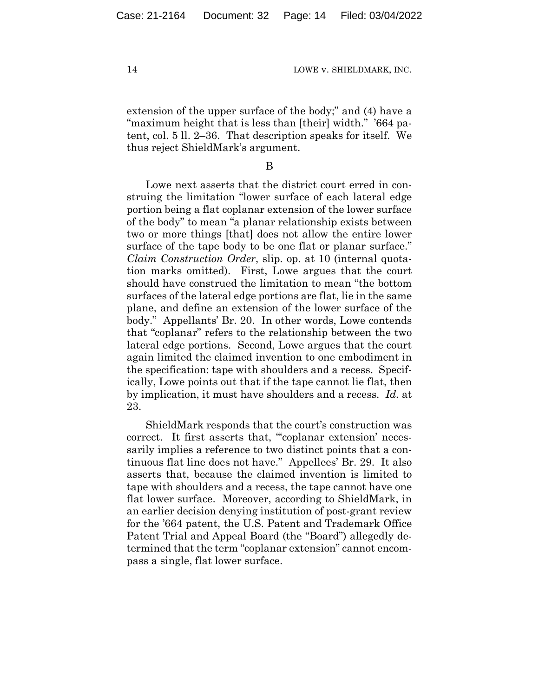extension of the upper surface of the body;" and (4) have a "maximum height that is less than [their] width." '664 patent, col. 5 ll. 2–36. That description speaks for itself. We thus reject ShieldMark's argument.

## B

Lowe next asserts that the district court erred in construing the limitation "lower surface of each lateral edge portion being a flat coplanar extension of the lower surface of the body" to mean "a planar relationship exists between two or more things [that] does not allow the entire lower surface of the tape body to be one flat or planar surface." *Claim Construction Order*, slip. op. at 10 (internal quotation marks omitted). First, Lowe argues that the court should have construed the limitation to mean "the bottom surfaces of the lateral edge portions are flat, lie in the same plane, and define an extension of the lower surface of the body." Appellants' Br. 20. In other words, Lowe contends that "coplanar" refers to the relationship between the two lateral edge portions. Second, Lowe argues that the court again limited the claimed invention to one embodiment in the specification: tape with shoulders and a recess. Specifically, Lowe points out that if the tape cannot lie flat, then by implication, it must have shoulders and a recess. *Id.* at 23.

ShieldMark responds that the court's construction was correct. It first asserts that, "'coplanar extension' necessarily implies a reference to two distinct points that a continuous flat line does not have." Appellees' Br. 29. It also asserts that, because the claimed invention is limited to tape with shoulders and a recess, the tape cannot have one flat lower surface. Moreover, according to ShieldMark, in an earlier decision denying institution of post-grant review for the '664 patent, the U.S. Patent and Trademark Office Patent Trial and Appeal Board (the "Board") allegedly determined that the term "coplanar extension" cannot encompass a single, flat lower surface.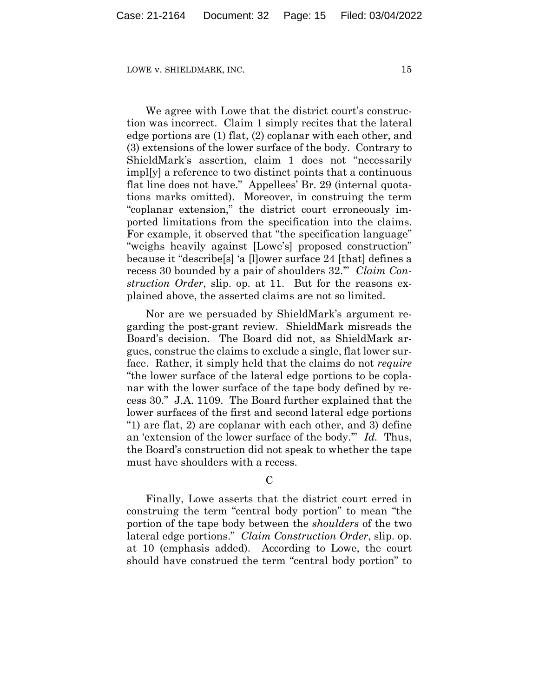We agree with Lowe that the district court's construction was incorrect. Claim 1 simply recites that the lateral edge portions are (1) flat, (2) coplanar with each other, and (3) extensions of the lower surface of the body. Contrary to ShieldMark's assertion, claim 1 does not "necessarily impl[y] a reference to two distinct points that a continuous flat line does not have." Appellees' Br. 29 (internal quotations marks omitted). Moreover, in construing the term "coplanar extension," the district court erroneously imported limitations from the specification into the claims. For example, it observed that "the specification language" "weighs heavily against [Lowe's] proposed construction" because it "describe[s] 'a [l]ower surface 24 [that] defines a recess 30 bounded by a pair of shoulders 32.'" *Claim Construction Order*, slip. op. at 11. But for the reasons explained above, the asserted claims are not so limited.

Nor are we persuaded by ShieldMark's argument regarding the post-grant review. ShieldMark misreads the Board's decision. The Board did not, as ShieldMark argues, construe the claims to exclude a single, flat lower surface. Rather, it simply held that the claims do not *require* "the lower surface of the lateral edge portions to be coplanar with the lower surface of the tape body defined by recess 30." J.A. 1109. The Board further explained that the lower surfaces of the first and second lateral edge portions "1) are flat, 2) are coplanar with each other, and 3) define an 'extension of the lower surface of the body.'" *Id.* Thus, the Board's construction did not speak to whether the tape must have shoulders with a recess.

 $\overline{C}$ 

Finally, Lowe asserts that the district court erred in construing the term "central body portion" to mean "the portion of the tape body between the *shoulders* of the two lateral edge portions." *Claim Construction Order*, slip. op. at 10 (emphasis added). According to Lowe, the court should have construed the term "central body portion" to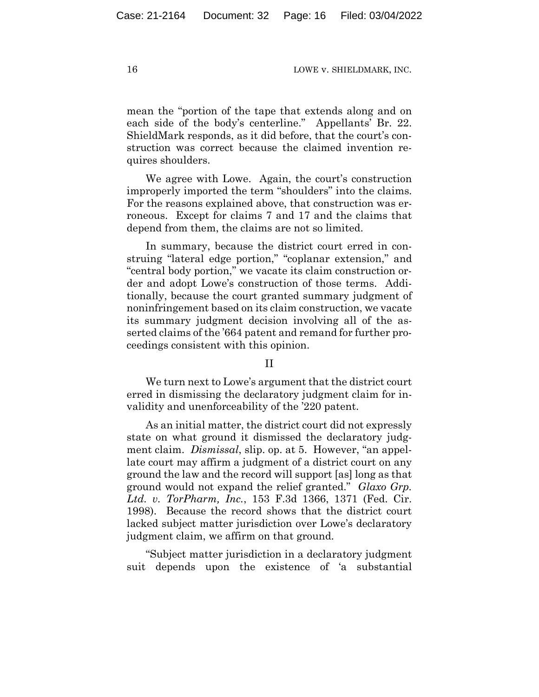mean the "portion of the tape that extends along and on each side of the body's centerline." Appellants' Br. 22. ShieldMark responds, as it did before, that the court's construction was correct because the claimed invention requires shoulders.

We agree with Lowe. Again, the court's construction improperly imported the term "shoulders" into the claims. For the reasons explained above, that construction was erroneous. Except for claims 7 and 17 and the claims that depend from them, the claims are not so limited.

In summary, because the district court erred in construing "lateral edge portion," "coplanar extension," and "central body portion," we vacate its claim construction order and adopt Lowe's construction of those terms. Additionally, because the court granted summary judgment of noninfringement based on its claim construction, we vacate its summary judgment decision involving all of the asserted claims of the '664 patent and remand for further proceedings consistent with this opinion.

#### II

We turn next to Lowe's argument that the district court erred in dismissing the declaratory judgment claim for invalidity and unenforceability of the '220 patent.

As an initial matter, the district court did not expressly state on what ground it dismissed the declaratory judgment claim. *Dismissal*, slip. op. at 5. However, "an appellate court may affirm a judgment of a district court on any ground the law and the record will support [as] long as that ground would not expand the relief granted." *Glaxo Grp. Ltd. v. TorPharm, Inc.*, 153 F.3d 1366, 1371 (Fed. Cir. 1998). Because the record shows that the district court lacked subject matter jurisdiction over Lowe's declaratory judgment claim, we affirm on that ground.

"Subject matter jurisdiction in a declaratory judgment suit depends upon the existence of 'a substantial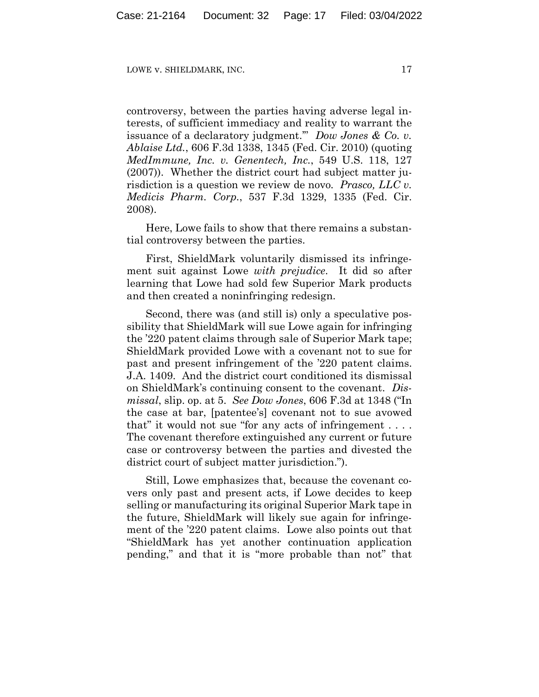controversy, between the parties having adverse legal interests, of sufficient immediacy and reality to warrant the issuance of a declaratory judgment.'" *Dow Jones & Co. v. Ablaise Ltd.*, 606 F.3d 1338, 1345 (Fed. Cir. 2010) (quoting *MedImmune, Inc. v. Genentech, Inc.*, 549 U.S. 118, 127 (2007)). Whether the district court had subject matter jurisdiction is a question we review de novo*. Prasco, LLC v. Medicis Pharm. Corp.*, 537 F.3d 1329, 1335 (Fed. Cir. 2008).

Here, Lowe fails to show that there remains a substantial controversy between the parties.

First, ShieldMark voluntarily dismissed its infringement suit against Lowe *with prejudice*. It did so after learning that Lowe had sold few Superior Mark products and then created a noninfringing redesign.

Second, there was (and still is) only a speculative possibility that ShieldMark will sue Lowe again for infringing the '220 patent claims through sale of Superior Mark tape; ShieldMark provided Lowe with a covenant not to sue for past and present infringement of the '220 patent claims. J.A. 1409. And the district court conditioned its dismissal on ShieldMark's continuing consent to the covenant. *Dismissal*, slip. op. at 5. *See Dow Jones*, 606 F.3d at 1348 ("In the case at bar, [patentee's] covenant not to sue avowed that" it would not sue "for any acts of infringement . . . . The covenant therefore extinguished any current or future case or controversy between the parties and divested the district court of subject matter jurisdiction.").

Still, Lowe emphasizes that, because the covenant covers only past and present acts, if Lowe decides to keep selling or manufacturing its original Superior Mark tape in the future, ShieldMark will likely sue again for infringement of the '220 patent claims. Lowe also points out that "ShieldMark has yet another continuation application pending," and that it is "more probable than not" that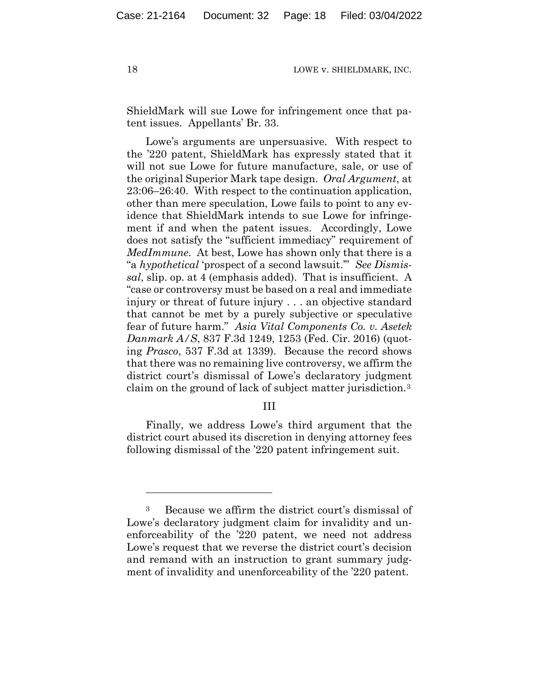ShieldMark will sue Lowe for infringement once that patent issues. Appellants' Br. 33.

Lowe's arguments are unpersuasive. With respect to the '220 patent, ShieldMark has expressly stated that it will not sue Lowe for future manufacture, sale, or use of the original Superior Mark tape design. *Oral Argument*, at 23:06–26:40. With respect to the continuation application, other than mere speculation, Lowe fails to point to any evidence that ShieldMark intends to sue Lowe for infringement if and when the patent issues. Accordingly, Lowe does not satisfy the "sufficient immediacy" requirement of *MedImmune*. At best, Lowe has shown only that there is a "a *hypothetical* 'prospect of a second lawsuit.'" *See Dismissal*, slip. op. at 4 (emphasis added). That is insufficient. A "case or controversy must be based on a real and immediate injury or threat of future injury . . . an objective standard that cannot be met by a purely subjective or speculative fear of future harm." *Asia Vital Components Co. v. Asetek Danmark A/S*, 837 F.3d 1249, 1253 (Fed. Cir. 2016) (quoting *Prasco*, 537 F.3d at 1339). Because the record shows that there was no remaining live controversy, we affirm the district court's dismissal of Lowe's declaratory judgment claim on the ground of lack of subject matter jurisdiction.3

# III

Finally, we address Lowe's third argument that the district court abused its discretion in denying attorney fees following dismissal of the '220 patent infringement suit.

<sup>3</sup> Because we affirm the district court's dismissal of Lowe's declaratory judgment claim for invalidity and unenforceability of the '220 patent, we need not address Lowe's request that we reverse the district court's decision and remand with an instruction to grant summary judgment of invalidity and unenforceability of the '220 patent.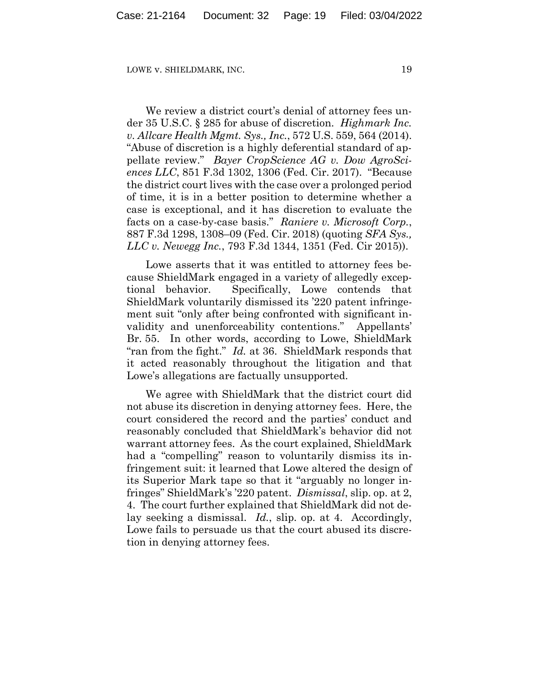We review a district court's denial of attorney fees under 35 U.S.C. § 285 for abuse of discretion. *Highmark Inc. v. Allcare Health Mgmt. Sys., Inc.*, 572 U.S. 559, 564 (2014). "Abuse of discretion is a highly deferential standard of appellate review." *Bayer CropScience AG v. Dow AgroSciences LLC*, 851 F.3d 1302, 1306 (Fed. Cir. 2017). "Because the district court lives with the case over a prolonged period of time, it is in a better position to determine whether a case is exceptional, and it has discretion to evaluate the facts on a case-by-case basis." *Raniere v. Microsoft Corp.*, 887 F.3d 1298, 1308–09 (Fed. Cir. 2018) (quoting *SFA Sys., LLC v. Newegg Inc.*, 793 F.3d 1344, 1351 (Fed. Cir 2015)).

Lowe asserts that it was entitled to attorney fees because ShieldMark engaged in a variety of allegedly exceptional behavior. Specifically, Lowe contends that ShieldMark voluntarily dismissed its '220 patent infringement suit "only after being confronted with significant invalidity and unenforceability contentions." Appellants' Br. 55. In other words, according to Lowe, ShieldMark "ran from the fight." *Id.* at 36. ShieldMark responds that it acted reasonably throughout the litigation and that Lowe's allegations are factually unsupported.

We agree with ShieldMark that the district court did not abuse its discretion in denying attorney fees. Here, the court considered the record and the parties' conduct and reasonably concluded that ShieldMark's behavior did not warrant attorney fees. As the court explained, ShieldMark had a "compelling" reason to voluntarily dismiss its infringement suit: it learned that Lowe altered the design of its Superior Mark tape so that it "arguably no longer infringes" ShieldMark's '220 patent. *Dismissal*, slip. op. at 2, 4. The court further explained that ShieldMark did not delay seeking a dismissal. *Id.*, slip. op. at 4. Accordingly, Lowe fails to persuade us that the court abused its discretion in denying attorney fees.